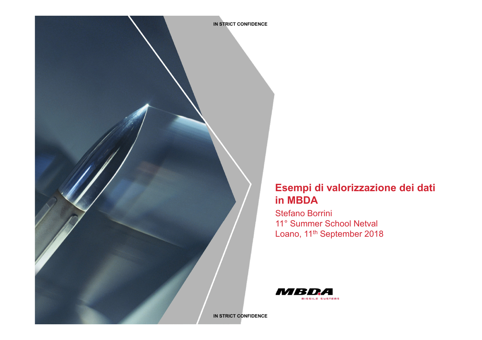

# **Esempi di valorizzazione dei dati in MBDA**

Stefano Borrini 11° Summer School Netval Loano, 11<sup>th</sup> September 2018

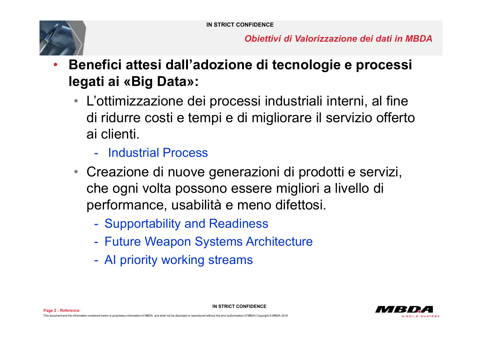

*Obiettivi di Valorizzazione dei dati in MBDA*

- **Benefici attesi dall'adozione di tecnologie e processi legati ai «Big Data»:** 
	- L'ottimizzazione dei processi industriali interni, al fine di ridurre costi e tempi e di migliorare il servizio offerto ai clienti.
		- Industrial Process
	- Creazione di nuove generazioni di prodotti e servizi, che ogni volta possono essere migliori a livello di performance, usabilità e meno difettosi.

**IN STRICT CONFIDENCE** 

- Supportability and Readiness
- Future Weapon Systems Architecture
- AI priority working streams

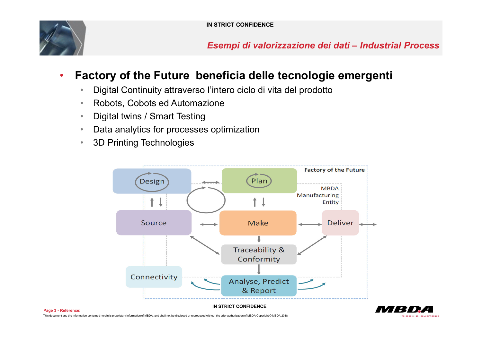

*Esempi di valorizzazione dei dati – Industrial Process*

# • **Factory of the Future beneficia delle tecnologie emergenti**

- Digital Continuity attraverso l'intero ciclo di vita del prodotto
- Robots, Cobots ed Automazione
- Digital twins / Smart Testing
- Data analytics for processes optimization
- 3D Printing Technologies



**Page 3 - Reference:**  This document and the information contained herein is proprietary information of MBDA. and shall not be disclosed or reproduced without the prior authorisation of MBDA Copyright © MBDA 2018

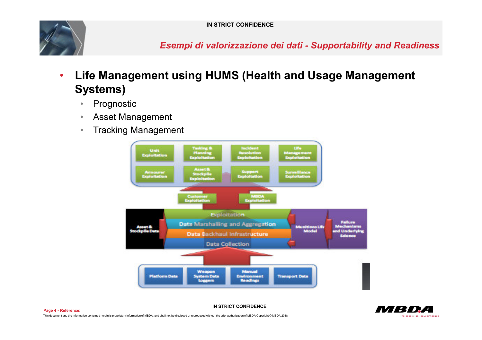

*Esempi di valorizzazione dei dati - Supportability and Readiness* 

- **Life Management using HUMS (Health and Usage Management Systems)** 
	- Prognostic
	- Asset Management
	- Tracking Management

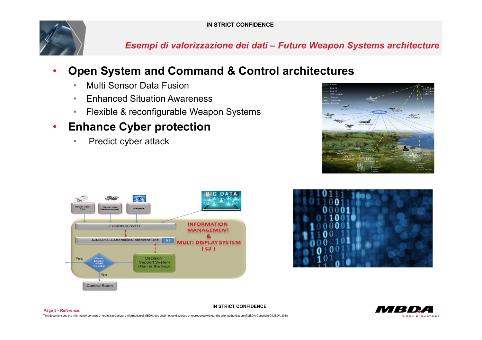

*Esempi di valorizzazione dei dati – Future Weapon Systems architecture*

# • **Open System and Command & Control architectures**

- Multi Sensor Data Fusion
- Enhanced Situation Awareness
- Flexible & reconfigurable Weapon Systems

# • **Enhance Cyber protection**

• Predict cyber attack









**Page 5 - Reference: IN STRICT CONFIDENCE**  This document and the information contained herein is proprietary information of MBDA. and shall not be disclosed or reproduced without the prior authorisation of MBDA Copyright © MBDA 2018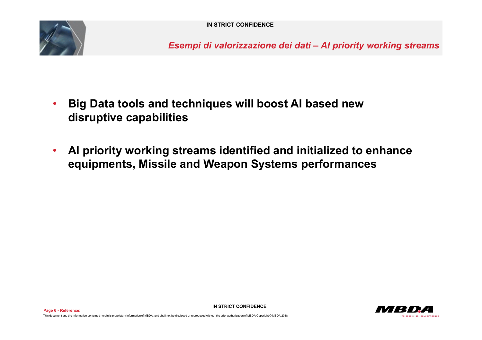

*Esempi di valorizzazione dei dati – AI priority working streams*

- **Big Data tools and techniques will boost AI based new disruptive capabilities**
- **AI priority working streams identified and initialized to enhance equipments, Missile and Weapon Systems performances**